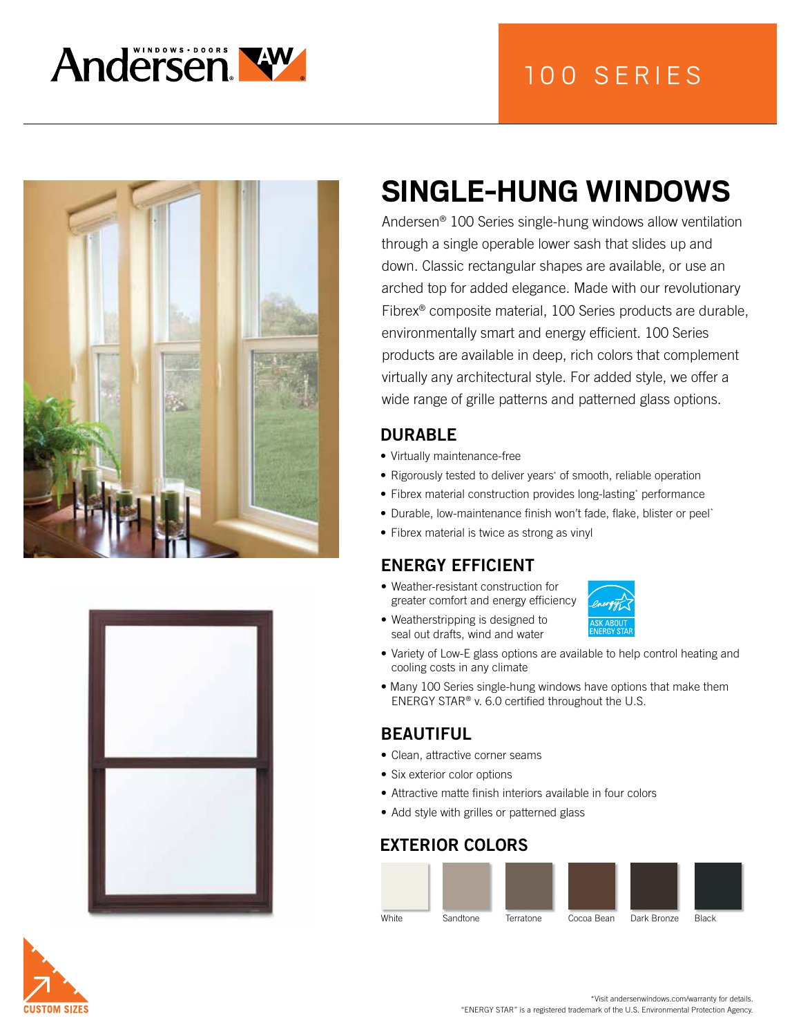

# 100 SERIES





# **SINGLE-HUNG WINDOWS**

Andersen® 100 Series single-hung windows allow ventilation through a single operable lower sash that slides up and down. Classic rectangular shapes are available, or use an arched top for added elegance. Made with our revolutionary Fibrex® composite material, 100 Series products are durable, environmentally smart and energy efficient. 100 Series products are available in deep, rich colors that complement virtually any architectural style. For added style, we offer a wide range of grille patterns and patterned glass options.

#### DURABLE

- Virtually maintenance-free
- Rigorously tested to deliver years\* of smooth, reliable operation
- Fibrex material construction provides long-lasting\* performance
- Durable, low-maintenance finish won't fade, flake, blister or peel\*
- Fibrex material is twice as strong as vinyl

#### ENERGY EFFICIENT

- Weather-resistant construction for greater comfort and energy efficiency
- Weatherstripping is designed to seal out drafts, wind and water
- 
- Variety of Low-E glass options are available to help control heating and cooling costs in any climate
- Many 100 Series single-hung windows have options that make them ENERGY STAR® v. 6.0 certified throughout the U.S.

#### BEAUTIFUL

- Clean, attractive corner seams
- Six exterior color options
- Attractive matte finish interiors available in four colors
- Add style with grilles or patterned glass

#### EXTERIOR COLORS